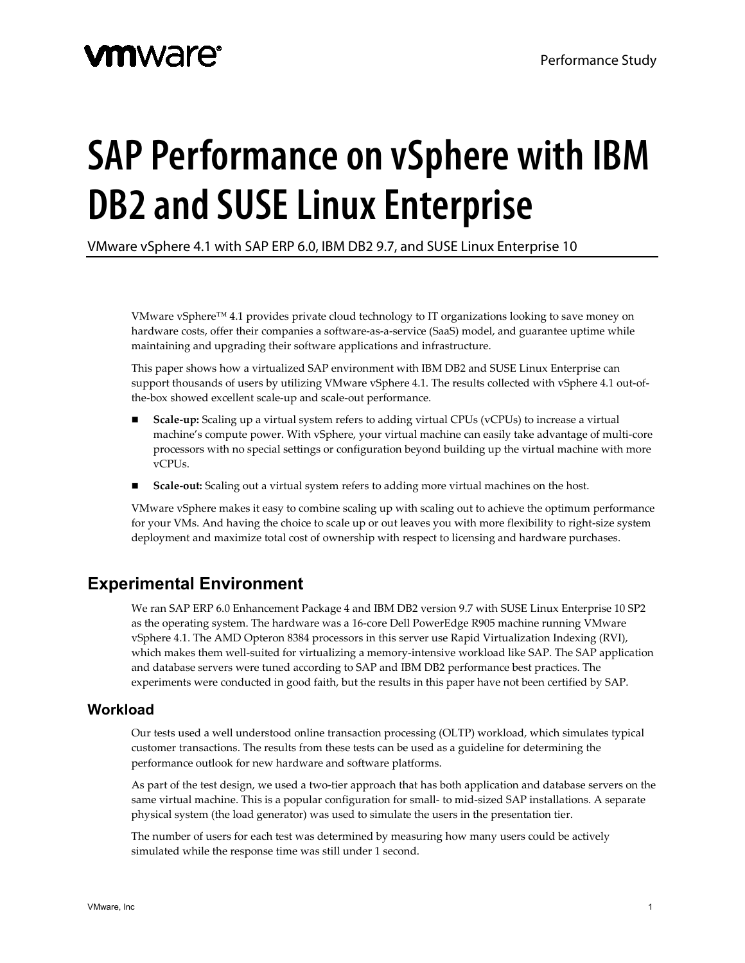# **m**ware<sup>®</sup>

# **SAP Performance on vSphere with IBM DB2 and SUSE Linux Enterprise**

VMware vSphere 4.1 with SAP ERP 6.0, IBM DB2 9.7, and SUSE Linux Enterprise 10

VMware vSphere™ 4.1 provides private cloud technology to IT organizations looking to save money on hardware costs, offer their companies a software-as-a-service (SaaS) model, and guarantee uptime while maintaining and upgrading their software applications and infrastructure.

This paper shows how a virtualized SAP environment with IBM DB2 and SUSE Linux Enterprise can support thousands of users by utilizing VMware vSphere 4.1. The results collected with vSphere 4.1 out-ofthe-box showed excellent scale-up and scale-out performance.

- **Scale-up:** Scaling up a virtual system refers to adding virtual CPUs (vCPUs) to increase a virtual machine's compute power. With vSphere, your virtual machine can easily take advantage of multi-core processors with no special settings or configuration beyond building up the virtual machine with more vCPUs.
- **Scale-out:** Scaling out a virtual system refers to adding more virtual machines on the host.

VMware vSphere makes it easy to combine scaling up with scaling out to achieve the optimum performance for your VMs. And having the choice to scale up or out leaves you with more flexibility to right-size system deployment and maximize total cost of ownership with respect to licensing and hardware purchases.

## **Experimental Environment**

We ran SAP ERP 6.0 Enhancement Package 4 and IBM DB2 version 9.7 with SUSE Linux Enterprise 10 SP2 as the operating system. The hardware was a 16-core Dell PowerEdge R905 machine running VMware vSphere 4.1. The AMD Opteron 8384 processors in this server use Rapid Virtualization Indexing (RVI), which makes them well-suited for virtualizing a memory-intensive workload like SAP. The SAP application and database servers were tuned according to SAP and IBM DB2 performance best practices. The experiments were conducted in good faith, but the results in this paper have not been certified by SAP.

#### **Workload**

Our tests used a well understood online transaction processing (OLTP) workload, which simulates typical customer transactions. The results from these tests can be used as a guideline for determining the performance outlook for new hardware and software platforms.

As part of the test design, we used a two-tier approach that has both application and database servers on the same virtual machine. This is a popular configuration for small- to mid-sized SAP installations. A separate physical system (the load generator) was used to simulate the users in the presentation tier.

The number of users for each test was determined by measuring how many users could be actively simulated while the response time was still under 1 second.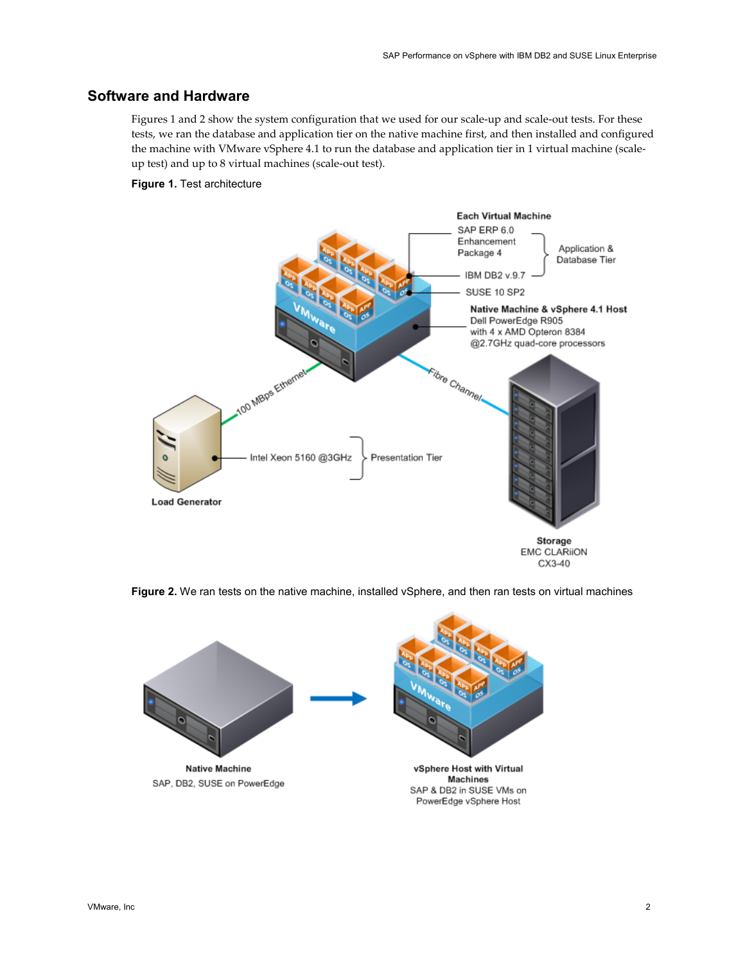#### **Software and Hardware**

Figures 1 and 2 show the system configuration that we used for our scale-up and scale-out tests. For these tests, we ran the database and application tier on the native machine first, and then installed and configured the machine with VMware vSphere 4.1 to run the database and application tier in 1 virtual machine (scaleup test) and up to 8 virtual machines (scale-out test).

#### **Figure 1.** Test architecture



**Figure 2.** We ran tests on the native machine, installed vSphere, and then ran tests on virtual machines



PowerEdge vSphere Host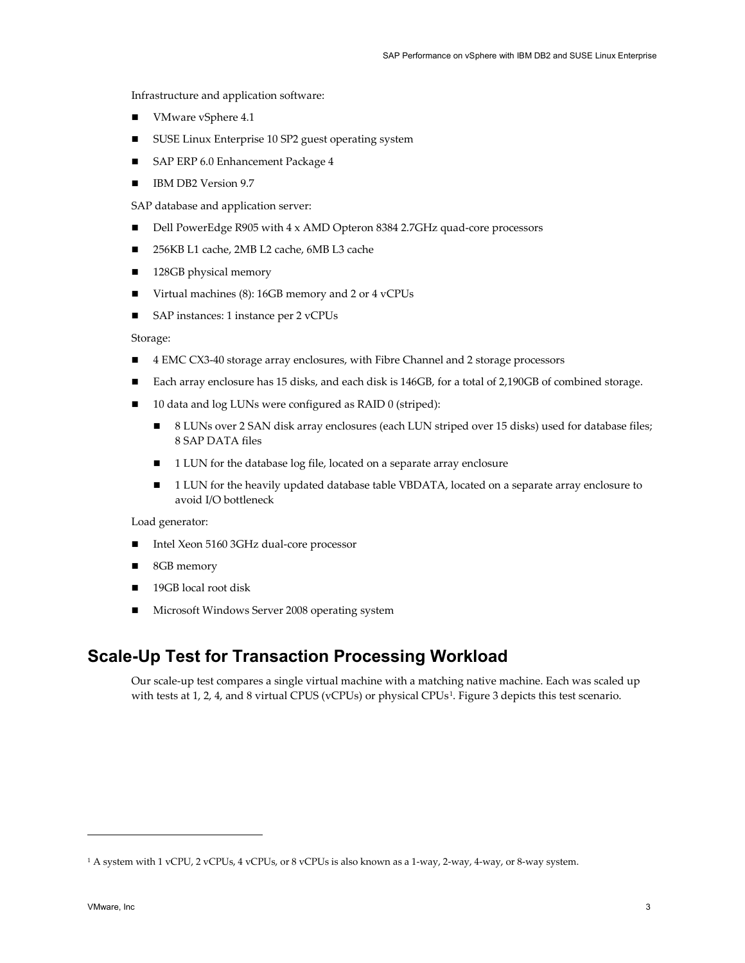Infrastructure and application software:

- VMware vSphere 4.1
- SUSE Linux Enterprise 10 SP2 guest operating system
- SAP ERP 6.0 Enhancement Package 4
- **IBM DB2 Version 9.7**

SAP database and application server:

- Dell PowerEdge R905 with 4 x AMD Opteron 8384 2.7GHz quad-core processors
- 256KB L1 cache, 2MB L2 cache, 6MB L3 cache
- 128GB physical memory
- Virtual machines (8): 16GB memory and 2 or 4 vCPUs
- SAP instances: 1 instance per 2 vCPUs

#### Storage:

- 4 EMC CX3-40 storage array enclosures, with Fibre Channel and 2 storage processors
- Each array enclosure has 15 disks, and each disk is 146GB, for a total of 2,190GB of combined storage.
- 10 data and log LUNs were configured as RAID 0 (striped):
	- 8 LUNs over 2 SAN disk array enclosures (each LUN striped over 15 disks) used for database files; 8 SAP DATA files
	- 1 LUN for the database log file, located on a separate array enclosure
	- 1 LUN for the heavily updated database table VBDATA, located on a separate array enclosure to avoid I/O bottleneck

Load generator:

- Intel Xeon 5160 3GHz dual-core processor
- 8GB memory
- 19GB local root disk
- Microsoft Windows Server 2008 operating system

#### **Scale-Up Test for Transaction Processing Workload**

Our scale-up test compares a single virtual machine with a matching native machine. Each was scaled up with tests at [1](#page-2-0), 2, 4, and 8 virtual CPUS (vCPUs) or physical CPUs<sup>1</sup>. Figure 3 depicts this test scenario.

 $\overline{a}$ 

<span id="page-2-0"></span><sup>1</sup> A system with 1 vCPU, 2 vCPUs, 4 vCPUs, or 8 vCPUs is also known as a 1-way, 2-way, 4-way, or 8-way system.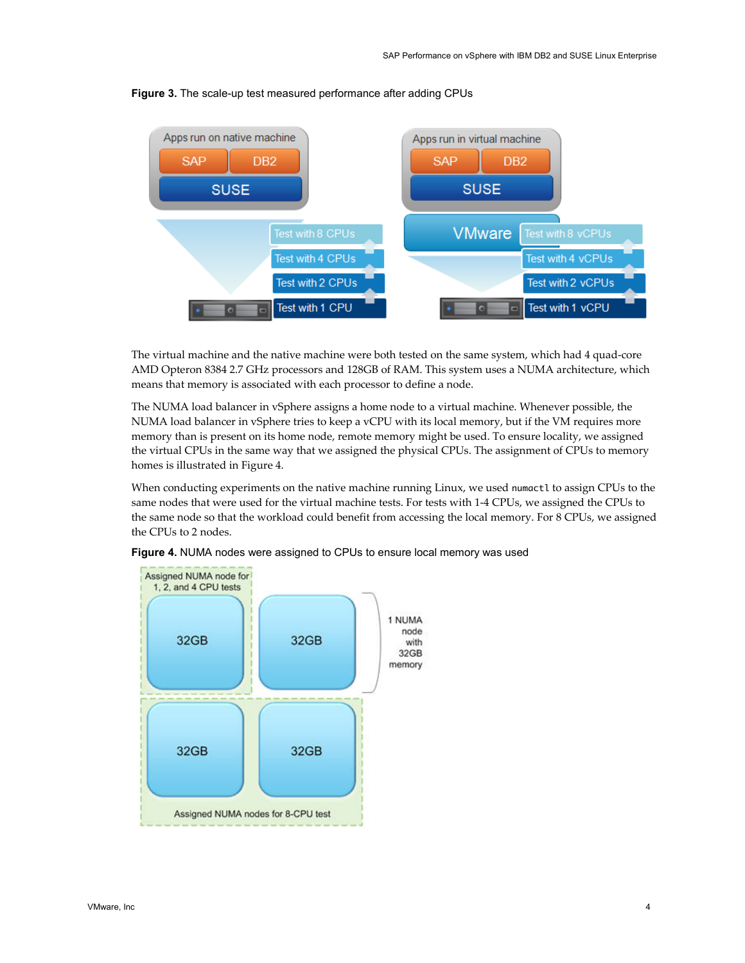

**Figure 3.** The scale-up test measured performance after adding CPUs

The virtual machine and the native machine were both tested on the same system, which had 4 quad-core AMD Opteron 8384 2.7 GHz processors and 128GB of RAM. This system uses a NUMA architecture, which means that memory is associated with each processor to define a node.

The NUMA load balancer in vSphere assigns a home node to a virtual machine. Whenever possible, the NUMA load balancer in vSphere tries to keep a vCPU with its local memory, but if the VM requires more memory than is present on its home node, remote memory might be used. To ensure locality, we assigned the virtual CPUs in the same way that we assigned the physical CPUs. The assignment of CPUs to memory homes is illustrated in Figure 4.

When conducting experiments on the native machine running Linux, we used numactl to assign CPUs to the same nodes that were used for the virtual machine tests. For tests with 1-4 CPUs, we assigned the CPUs to the same node so that the workload could benefit from accessing the local memory. For 8 CPUs, we assigned the CPUs to 2 nodes.



**Figure 4.** NUMA nodes were assigned to CPUs to ensure local memory was used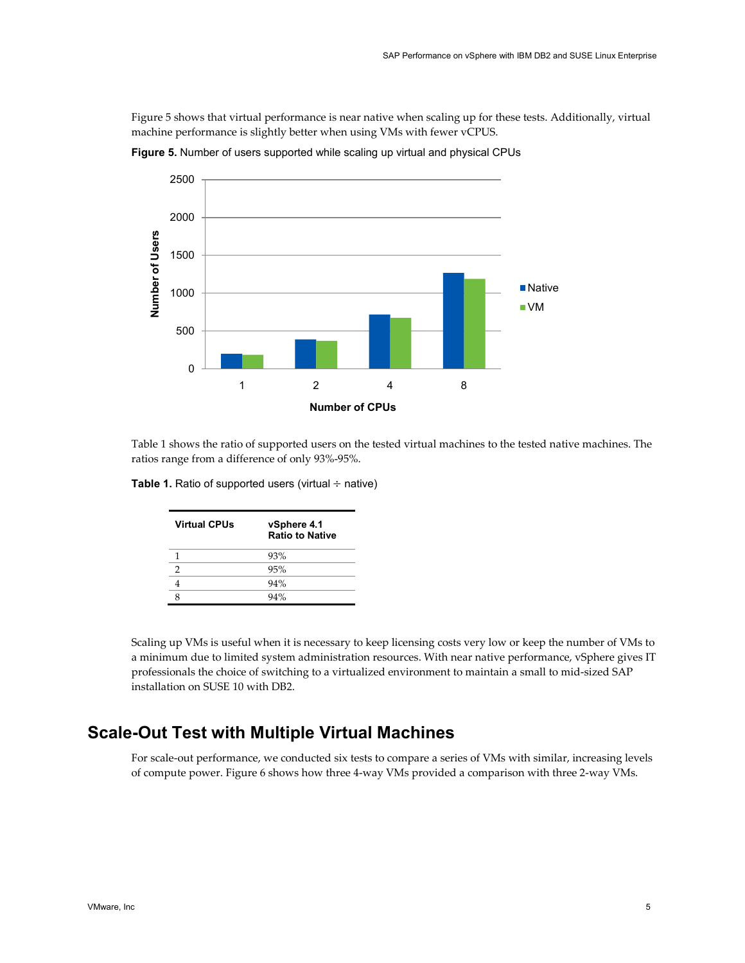Figure 5 shows that virtual performance is near native when scaling up for these tests. Additionally, virtual machine performance is slightly better when using VMs with fewer vCPUS.



**Figure 5.** Number of users supported while scaling up virtual and physical CPUs

Table 1 shows the ratio of supported users on the tested virtual machines to the tested native machines. The ratios range from a difference of only 93%-95%.

| <b>Table 1.</b> Ratio of supported users (virtual $\div$ native) |  |  |  |
|------------------------------------------------------------------|--|--|--|
|                                                                  |  |  |  |

| <b>Virtual CPUs</b> | vSphere 4.1<br><b>Ratio to Native</b> |
|---------------------|---------------------------------------|
|                     | 93%                                   |
|                     | 95%                                   |
|                     | 94%                                   |
|                     | 94%                                   |

Scaling up VMs is useful when it is necessary to keep licensing costs very low or keep the number of VMs to a minimum due to limited system administration resources. With near native performance, vSphere gives IT professionals the choice of switching to a virtualized environment to maintain a small to mid-sized SAP installation on SUSE 10 with DB2.

### **Scale-Out Test with Multiple Virtual Machines**

For scale-out performance, we conducted six tests to compare a series of VMs with similar, increasing levels of compute power. Figure 6 shows how three 4-way VMs provided a comparison with three 2-way VMs.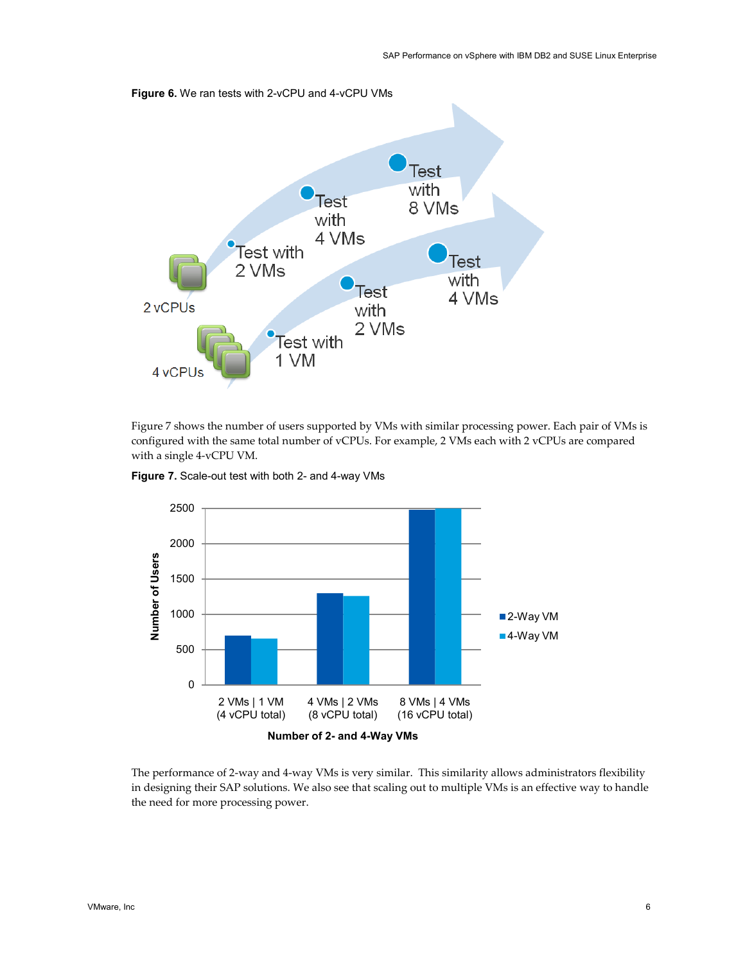



Figure 7 shows the number of users supported by VMs with similar processing power. Each pair of VMs is configured with the same total number of vCPUs. For example, 2 VMs each with 2 vCPUs are compared with a single 4-vCPU VM.



**Figure 7.** Scale-out test with both 2- and 4-way VMs

The performance of 2-way and 4-way VMs is very similar. This similarity allows administrators flexibility in designing their SAP solutions. We also see that scaling out to multiple VMs is an effective way to handle the need for more processing power.